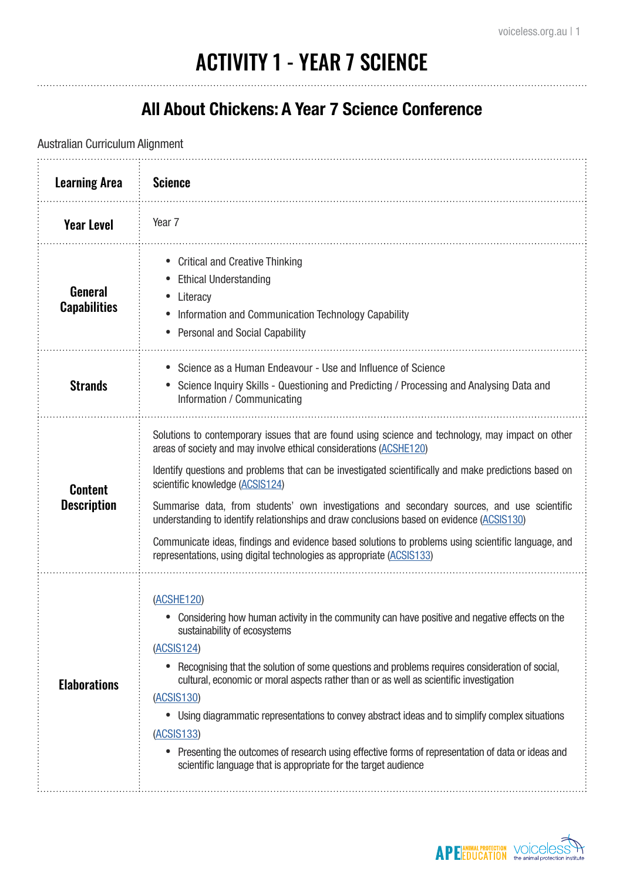# ACTIVITY 1 - YEAR 7 SCIENCE

#### **All About Chickens: A Year 7 Science Conference**

Australian Curriculum Alignment

| <b>Learning Area</b>                  | <b>Science</b>                                                                                                                                                                                                                                                                                                                                                                                                                                                                                                                                                                                                                                                                                  |
|---------------------------------------|-------------------------------------------------------------------------------------------------------------------------------------------------------------------------------------------------------------------------------------------------------------------------------------------------------------------------------------------------------------------------------------------------------------------------------------------------------------------------------------------------------------------------------------------------------------------------------------------------------------------------------------------------------------------------------------------------|
| <b>Year Level</b>                     | Year <sub>7</sub>                                                                                                                                                                                                                                                                                                                                                                                                                                                                                                                                                                                                                                                                               |
| <b>General</b><br><b>Capabilities</b> | <b>Critical and Creative Thinking</b><br><b>Ethical Understanding</b><br>Literacy<br>Information and Communication Technology Capability<br><b>Personal and Social Capability</b>                                                                                                                                                                                                                                                                                                                                                                                                                                                                                                               |
| <b>Strands</b>                        | Science as a Human Endeavour - Use and Influence of Science<br>Science Inquiry Skills - Questioning and Predicting / Processing and Analysing Data and<br>Information / Communicating                                                                                                                                                                                                                                                                                                                                                                                                                                                                                                           |
| <b>Content</b><br><b>Description</b>  | Solutions to contemporary issues that are found using science and technology, may impact on other<br>areas of society and may involve ethical considerations (ACSHE120)<br>Identify questions and problems that can be investigated scientifically and make predictions based on<br>scientific knowledge (ACSIS124)<br>Summarise data, from students' own investigations and secondary sources, and use scientific<br>understanding to identify relationships and draw conclusions based on evidence (ACSIS130)<br>Communicate ideas, findings and evidence based solutions to problems using scientific language, and<br>representations, using digital technologies as appropriate (ACSIS133) |
| <b>Elaborations</b>                   | (ACSHE120)<br>Considering how human activity in the community can have positive and negative effects on the<br>sustainability of ecosystems<br>(ACSIS124)<br>Recognising that the solution of some questions and problems requires consideration of social,<br>cultural, economic or moral aspects rather than or as well as scientific investigation<br>(ACSIS130)<br>Using diagrammatic representations to convey abstract ideas and to simplify complex situations<br>(ACSIS133)<br>Presenting the outcomes of research using effective forms of representation of data or ideas and<br>scientific language that is appropriate for the target audience                                      |

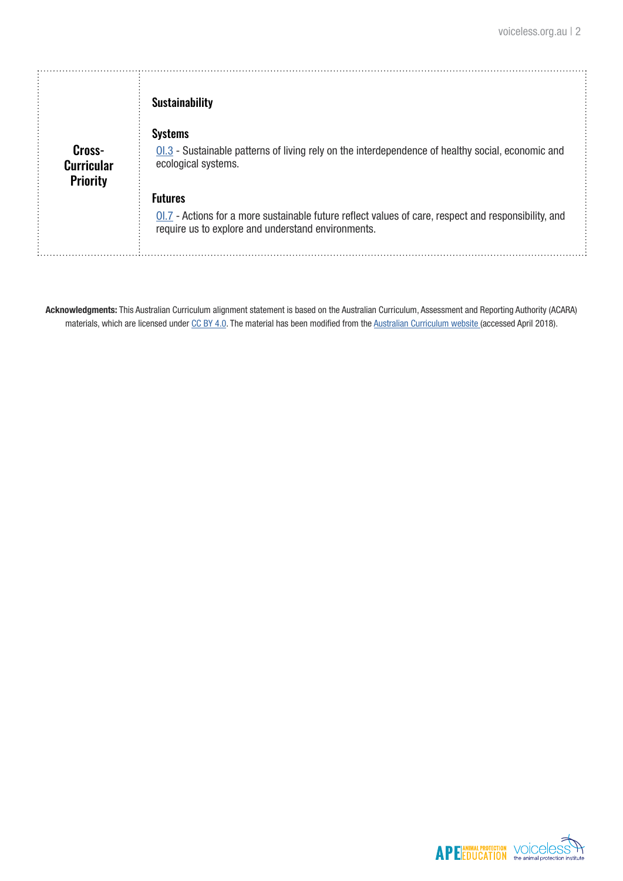|                             | <b>Sustainability</b>                                                                                                                                                         |  |
|-----------------------------|-------------------------------------------------------------------------------------------------------------------------------------------------------------------------------|--|
| Cross-<br><b>Curricular</b> | <b>Systems</b><br>$Q1.3$ - Sustainable patterns of living rely on the interdependence of healthy social, economic and<br>ecological systems.                                  |  |
| <b>Priority</b>             | <b>Futures</b><br>$0.7$ - Actions for a more sustainable future reflect values of care, respect and responsibility, and<br>require us to explore and understand environments. |  |

**Acknowledgments:** This Australian Curriculum alignment statement is based on the Australian Curriculum, Assessment and Reporting Authority (ACARA) materials, which are licensed under [CC BY 4.0](https://creativecommons.org/licenses/by/4.0). The material has been modified from the [Australian Curriculum website](http://www.australiancurriculum.edu.au) (accessed April 2018).

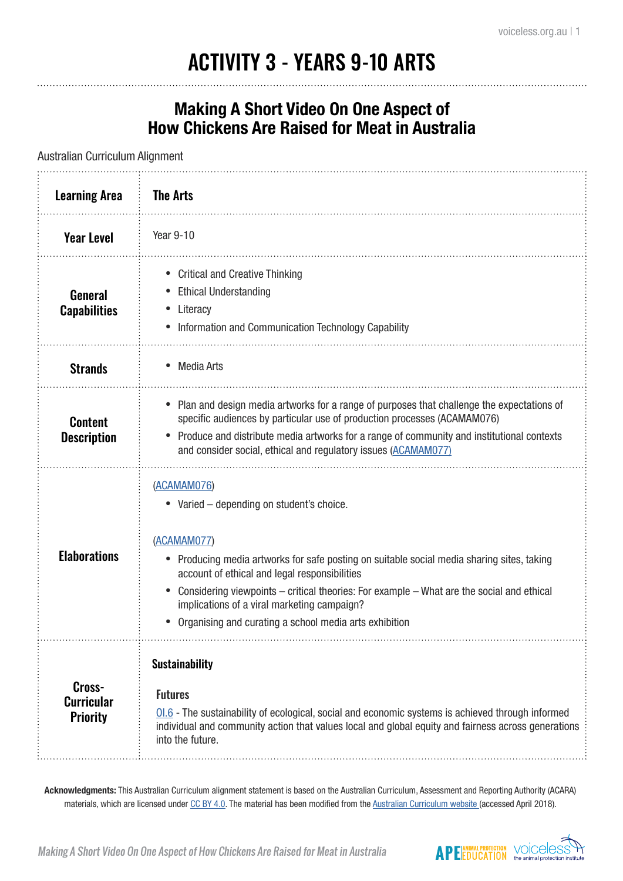# ACTIVITY 3 - YEARS 9-10 ARTS

#### **Making A Short Video On One Aspect of How Chickens Are Raised for Meat in Australia**

Australian Curriculum Alignment

| <b>Learning Area</b>                           | <b>The Arts</b>                                                                                                                                                                                                                                                                                                                                                                                                              |
|------------------------------------------------|------------------------------------------------------------------------------------------------------------------------------------------------------------------------------------------------------------------------------------------------------------------------------------------------------------------------------------------------------------------------------------------------------------------------------|
| <b>Year Level</b>                              | Year 9-10                                                                                                                                                                                                                                                                                                                                                                                                                    |
| <b>General</b><br><b>Capabilities</b>          | <b>Critical and Creative Thinking</b><br><b>Ethical Understanding</b><br>• Literacy<br>• Information and Communication Technology Capability                                                                                                                                                                                                                                                                                 |
| <b>Strands</b>                                 | Media Arts                                                                                                                                                                                                                                                                                                                                                                                                                   |
| <b>Content</b><br><b>Description</b>           | Plan and design media artworks for a range of purposes that challenge the expectations of<br>specific audiences by particular use of production processes (ACAMAM076)<br>• Produce and distribute media artworks for a range of community and institutional contexts<br>and consider social, ethical and regulatory issues (ACAMAM077)                                                                                       |
| <b>Elaborations</b>                            | (ACAMAM076)<br>• Varied - depending on student's choice.<br>(ACAMAM077)<br>• Producing media artworks for safe posting on suitable social media sharing sites, taking<br>account of ethical and legal responsibilities<br>Considering viewpoints - critical theories: For example - What are the social and ethical<br>implications of a viral marketing campaign?<br>Organising and curating a school media arts exhibition |
| Cross-<br><b>Curricular</b><br><b>Priority</b> | <b>Sustainability</b><br><b>Futures</b><br>$01.6$ - The sustainability of ecological, social and economic systems is achieved through informed<br>individual and community action that values local and global equity and fairness across generations<br>into the future.                                                                                                                                                    |

**Acknowledgments:** This Australian Curriculum alignment statement is based on the Australian Curriculum, Assessment and Reporting Authority (ACARA) materials, which are licensed under [CC BY 4.0](https://creativecommons.org/licenses/by/4.0). The material has been modified from the [Australian Curriculum website](http://www.australiancurriculum.edu.au) (accessed April 2018).

Making A Short Video On One Aspect of How Chickens Are Raised for Meat in Australia

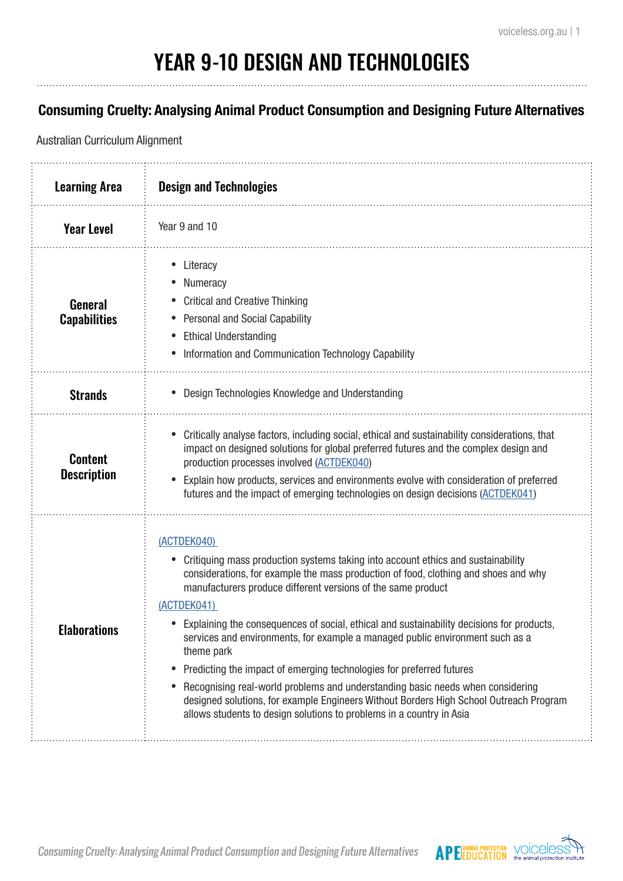# YEAR 9-10 DESIGN AND TECHNOLOGIES

#### **Consuming Cruelty: Analysing Animal Product Consumption and Designing Future Alternatives**

Australian Curriculum Alignment

| <b>Learning Area</b>                  | <b>Design and Technologies</b>                                                                                                                                                                                                                                                                                                                                                                                                                                                                                                                                                                                                                                                                                                                                                                  |
|---------------------------------------|-------------------------------------------------------------------------------------------------------------------------------------------------------------------------------------------------------------------------------------------------------------------------------------------------------------------------------------------------------------------------------------------------------------------------------------------------------------------------------------------------------------------------------------------------------------------------------------------------------------------------------------------------------------------------------------------------------------------------------------------------------------------------------------------------|
| <b>Year Level</b>                     | Year 9 and 10                                                                                                                                                                                                                                                                                                                                                                                                                                                                                                                                                                                                                                                                                                                                                                                   |
| <b>General</b><br><b>Capabilities</b> | Literacy<br>Numeracy<br><b>Critical and Creative Thinking</b><br><b>Personal and Social Capability</b><br><b>Ethical Understanding</b><br>Information and Communication Technology Capability                                                                                                                                                                                                                                                                                                                                                                                                                                                                                                                                                                                                   |
| <b>Strands</b>                        | • Design Technologies Knowledge and Understanding                                                                                                                                                                                                                                                                                                                                                                                                                                                                                                                                                                                                                                                                                                                                               |
| <b>Content</b><br><b>Description</b>  | Critically analyse factors, including social, ethical and sustainability considerations, that<br>impact on designed solutions for global preferred futures and the complex design and<br>production processes involved (ACTDEK040)<br>Explain how products, services and environments evolve with consideration of preferred<br>futures and the impact of emerging technologies on design decisions (ACTDEK041)                                                                                                                                                                                                                                                                                                                                                                                 |
| <b>Elaborations</b>                   | (ACTDEK040)<br>Critiquing mass production systems taking into account ethics and sustainability<br>considerations, for example the mass production of food, clothing and shoes and why<br>manufacturers produce different versions of the same product<br>(ACTDEK041)<br>• Explaining the consequences of social, ethical and sustainability decisions for products,<br>services and environments, for example a managed public environment such as a<br>theme park<br>Predicting the impact of emerging technologies for preferred futures<br>Recognising real-world problems and understanding basic needs when considering<br>designed solutions, for example Engineers Without Borders High School Outreach Program<br>allows students to design solutions to problems in a country in Asia |



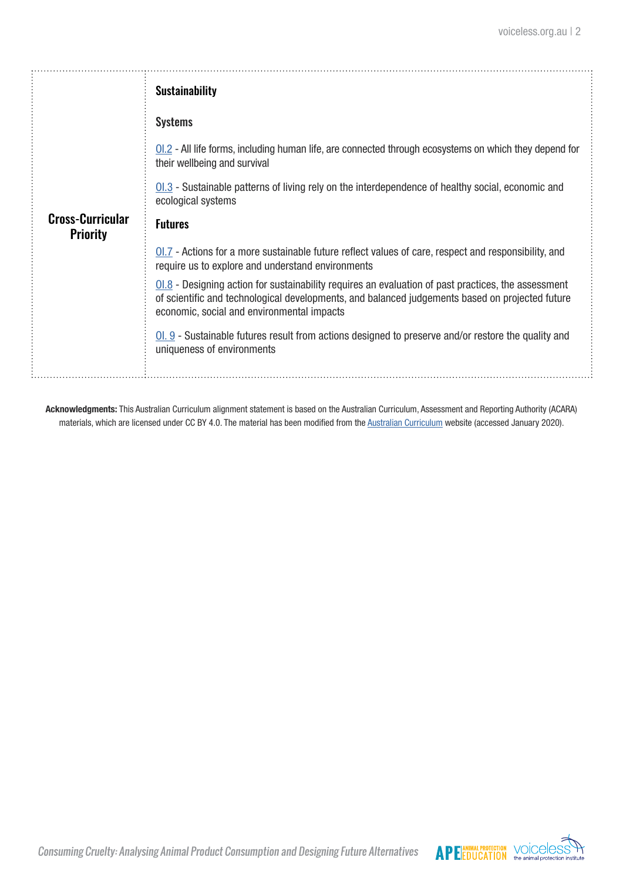|                                            | <b>Sustainability</b>                                                                                                                                                                                                                                  |
|--------------------------------------------|--------------------------------------------------------------------------------------------------------------------------------------------------------------------------------------------------------------------------------------------------------|
|                                            | <b>Systems</b>                                                                                                                                                                                                                                         |
|                                            | $\underline{01.2}$ - All life forms, including human life, are connected through ecosystems on which they depend for<br>their wellbeing and survival                                                                                                   |
|                                            | $\underline{01.3}$ - Sustainable patterns of living rely on the interdependence of healthy social, economic and<br>ecological systems                                                                                                                  |
| <b>Cross-Curricular</b><br><b>Priority</b> | <b>Futures</b>                                                                                                                                                                                                                                         |
|                                            | $0.7$ - Actions for a more sustainable future reflect values of care, respect and responsibility, and<br>require us to explore and understand environments                                                                                             |
|                                            | $01.8$ - Designing action for sustainability requires an evaluation of past practices, the assessment<br>of scientific and technological developments, and balanced judgements based on projected future<br>economic, social and environmental impacts |
|                                            | $0.9$ - Sustainable futures result from actions designed to preserve and/or restore the quality and<br>uniqueness of environments                                                                                                                      |

**Acknowledgments:** This Australian Curriculum alignment statement is based on the Australian Curriculum, Assessment and Reporting Authority (ACARA) materials, which are licensed under CC BY 4.0. The material has been modified from the [Australian Curriculum](https://www.australiancurriculum.edu.au/) website (accessed January 2020).



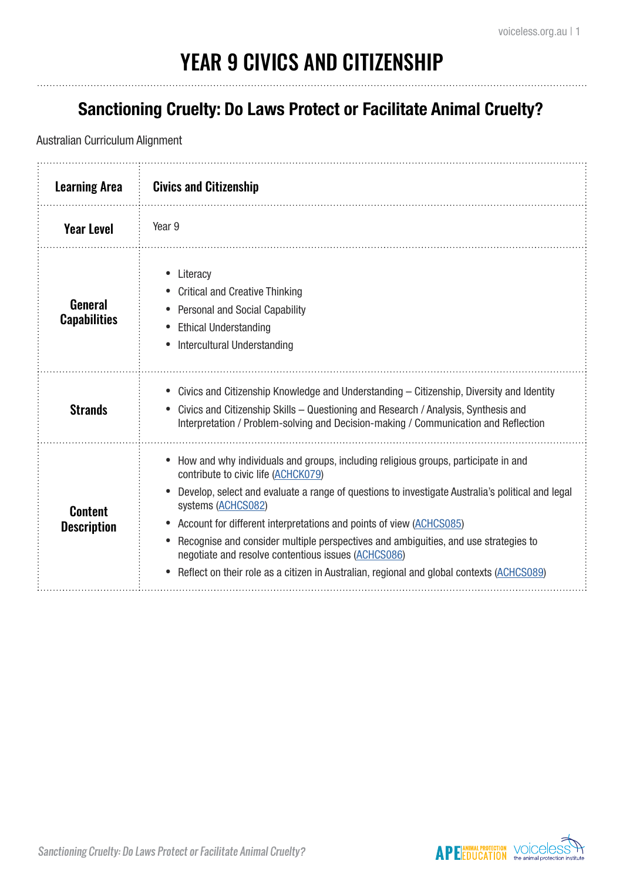# YEAR 9 CIVICS AND CITIZENSHIP

### **Sanctioning Cruelty: Do Laws Protect or Facilitate Animal Cruelty?**

#### Australian Curriculum Alignment

| <b>Learning Area</b>                 | <b>Civics and Citizenship</b>                                                                                                                                                                                                                                                                                                                                                                                                                                                                                                                                         |
|--------------------------------------|-----------------------------------------------------------------------------------------------------------------------------------------------------------------------------------------------------------------------------------------------------------------------------------------------------------------------------------------------------------------------------------------------------------------------------------------------------------------------------------------------------------------------------------------------------------------------|
| <b>Year Level</b>                    | Year <sub>9</sub>                                                                                                                                                                                                                                                                                                                                                                                                                                                                                                                                                     |
| General<br><b>Capabilities</b>       | Literacy<br><b>Critical and Creative Thinking</b><br><b>Personal and Social Capability</b><br><b>Ethical Understanding</b><br>Intercultural Understanding                                                                                                                                                                                                                                                                                                                                                                                                             |
| <b>Strands</b>                       | Civics and Citizenship Knowledge and Understanding – Citizenship, Diversity and Identity<br>Civics and Citizenship Skills - Questioning and Research / Analysis, Synthesis and<br>Interpretation / Problem-solving and Decision-making / Communication and Reflection                                                                                                                                                                                                                                                                                                 |
| <b>Content</b><br><b>Description</b> | How and why individuals and groups, including religious groups, participate in and<br>contribute to civic life (ACHCK079)<br>Develop, select and evaluate a range of questions to investigate Australia's political and legal<br>systems (ACHCS082)<br>Account for different interpretations and points of view (ACHCS085)<br>Recognise and consider multiple perspectives and ambiguities, and use strategies to<br>negotiate and resolve contentious issues (ACHCS086)<br>Reflect on their role as a citizen in Australian, regional and global contexts (ACHCS089) |